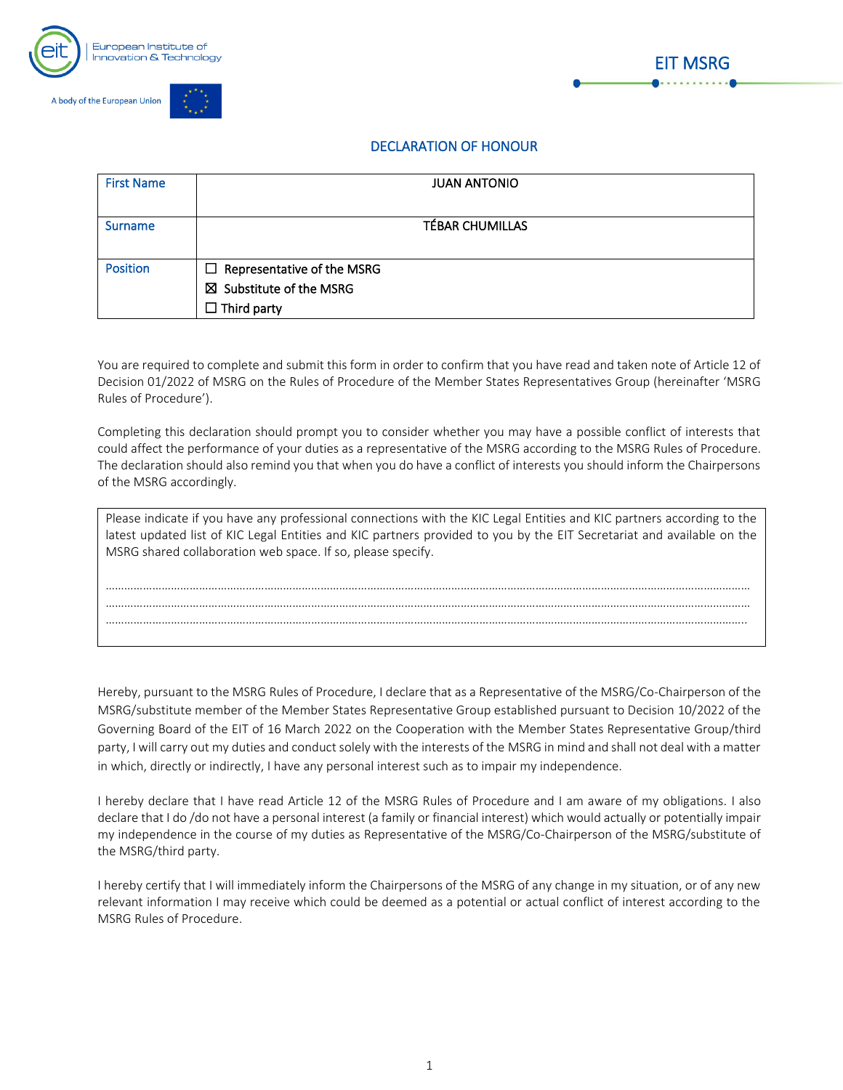





## DECLARATION OF HONOUR

| <b>First Name</b> | <b>JUAN ANTONIO</b>                |  |
|-------------------|------------------------------------|--|
|                   |                                    |  |
| Surname           | <b>TÉBAR CHUMILLAS</b>             |  |
|                   |                                    |  |
| <b>Position</b>   | $\Box$ Representative of the MSRG  |  |
|                   | $\boxtimes$ Substitute of the MSRG |  |
|                   | $\Box$ Third party                 |  |

You are required to complete and submit this form in order to confirm that you have read and taken note of Article 12 of Decision 01/2022 of MSRG on the Rules of Procedure of the Member States Representatives Group (hereinafter 'MSRG Rules of Procedure').

Completing this declaration should prompt you to consider whether you may have a possible conflict of interests that could affect the performance of your duties as a representative of the MSRG according to the MSRG Rules of Procedure. The declaration should also remind you that when you do have a conflict of interests you should inform the Chairpersons of the MSRG accordingly.

| Please indicate if you have any professional connections with the KIC Legal Entities and KIC partners according to the<br>latest updated list of KIC Legal Entities and KIC partners provided to you by the EIT Secretariat and available on the<br>MSRG shared collaboration web space. If so, please specify. |  |  |  |  |
|-----------------------------------------------------------------------------------------------------------------------------------------------------------------------------------------------------------------------------------------------------------------------------------------------------------------|--|--|--|--|
|                                                                                                                                                                                                                                                                                                                 |  |  |  |  |
|                                                                                                                                                                                                                                                                                                                 |  |  |  |  |
|                                                                                                                                                                                                                                                                                                                 |  |  |  |  |
|                                                                                                                                                                                                                                                                                                                 |  |  |  |  |
|                                                                                                                                                                                                                                                                                                                 |  |  |  |  |

Hereby, pursuant to the MSRG Rules of Procedure, I declare that as a Representative of the MSRG/Co-Chairperson of the MSRG/substitute member of the Member States Representative Group established pursuant to Decision 10/2022 of the Governing Board of the EIT of 16 March 2022 on the Cooperation with the Member States Representative Group/third party, I will carry out my duties and conduct solely with the interests of the MSRG in mind and shall not deal with a matter in which, directly or indirectly, I have any personal interest such as to impair my independence.

I hereby declare that I have read Article 12 of the MSRG Rules of Procedure and I am aware of my obligations. I also declare that I do /do not have a personal interest (a family or financial interest) which would actually or potentially impair my independence in the course of my duties as Representative of the MSRG/Co-Chairperson of the MSRG/substitute of the MSRG/third party.

I hereby certify that I will immediately inform the Chairpersons of the MSRG of any change in my situation, or of any new relevant information I may receive which could be deemed as a potential or actual conflict of interest according to the MSRG Rules of Procedure.